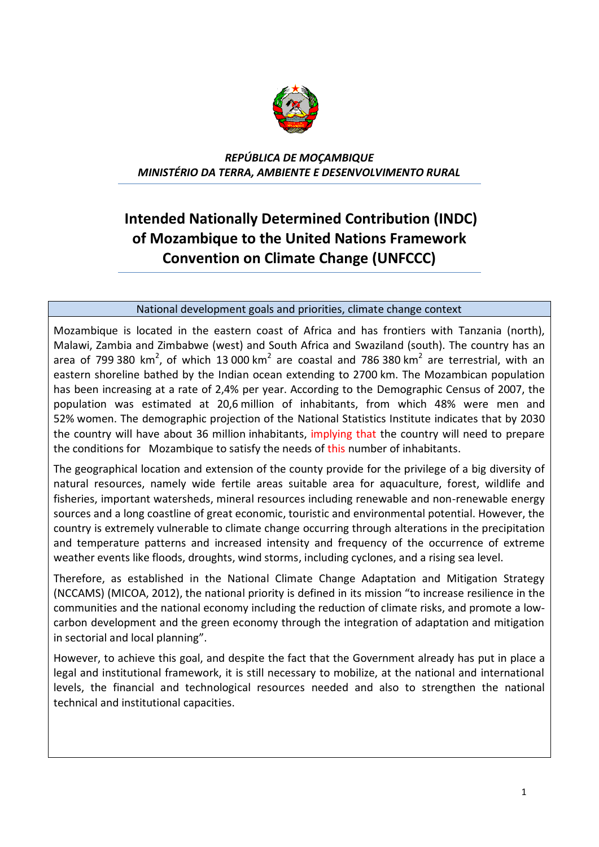

*REPÚBLICA DE MOÇAMBIQUE MINISTÉRIO DA TERRA, AMBIENTE E DESENVOLVIMENTO RURAL*

## **Intended Nationally Determined Contribution (INDC) of Mozambique to the United Nations Framework Convention on Climate Change (UNFCCC)**

## National development goals and priorities, climate change context

Mozambique is located in the eastern coast of Africa and has frontiers with Tanzania (north), Malawi, Zambia and Zimbabwe (west) and South Africa and Swaziland (south). The country has an area of 799 380 km<sup>2</sup>, of which 13 000 km<sup>2</sup> are coastal and 786 380 km<sup>2</sup> are terrestrial, with an eastern shoreline bathed by the Indian ocean extending to 2700 km. The Mozambican population has been increasing at a rate of 2,4% per year. According to the Demographic Census of 2007, the population was estimated at 20,6 million of inhabitants, from which 48% were men and 52% women. The demographic projection of the National Statistics Institute indicates that by 2030 the country will have about 36 million inhabitants, implying that the country will need to prepare the conditions for Mozambique to satisfy the needs of this number of inhabitants.

The geographical location and extension of the county provide for the privilege of a big diversity of natural resources, namely wide fertile areas suitable area for aquaculture, forest, wildlife and fisheries, important watersheds, mineral resources including renewable and non-renewable energy sources and a long coastline of great economic, touristic and environmental potential. However, the country is extremely vulnerable to climate change occurring through alterations in the precipitation and temperature patterns and increased intensity and frequency of the occurrence of extreme weather events like floods, droughts, wind storms, including cyclones, and a rising sea level.

Therefore, as established in the National Climate Change Adaptation and Mitigation Strategy (NCCAMS) (MICOA, 2012), the national priority is defined in its mission "to increase resilience in the communities and the national economy including the reduction of climate risks, and promote a lowcarbon development and the green economy through the integration of adaptation and mitigation in sectorial and local planning".

However, to achieve this goal, and despite the fact that the Government already has put in place a legal and institutional framework, it is still necessary to mobilize, at the national and international levels, the financial and technological resources needed and also to strengthen the national technical and institutional capacities.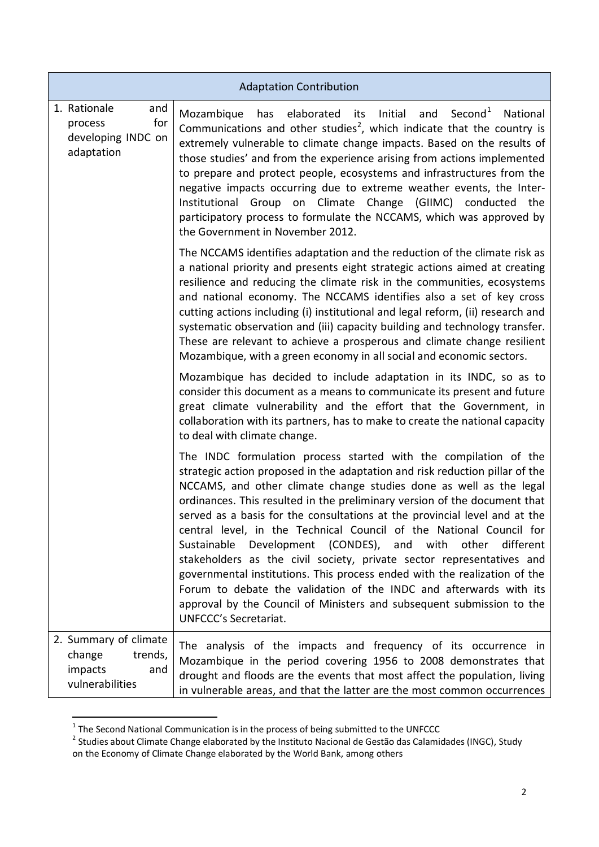| <b>Adaptation Contribution</b>                                                  |                                                                                                                                                                                                                                                                                                                                                                                                                                                                                                                                                                                                                                                                                                                                                                                                                                                                   |  |  |
|---------------------------------------------------------------------------------|-------------------------------------------------------------------------------------------------------------------------------------------------------------------------------------------------------------------------------------------------------------------------------------------------------------------------------------------------------------------------------------------------------------------------------------------------------------------------------------------------------------------------------------------------------------------------------------------------------------------------------------------------------------------------------------------------------------------------------------------------------------------------------------------------------------------------------------------------------------------|--|--|
| 1. Rationale<br>and<br>for<br>process<br>developing INDC on<br>adaptation       | Second <sup>1</sup><br>elaborated<br>Initial<br>and<br>National<br>Mozambique<br>has<br>its<br>Communications and other studies <sup>2</sup> , which indicate that the country is<br>extremely vulnerable to climate change impacts. Based on the results of<br>those studies' and from the experience arising from actions implemented<br>to prepare and protect people, ecosystems and infrastructures from the<br>negative impacts occurring due to extreme weather events, the Inter-<br>Institutional Group on Climate Change (GIIMC) conducted the<br>participatory process to formulate the NCCAMS, which was approved by<br>the Government in November 2012.                                                                                                                                                                                              |  |  |
|                                                                                 | The NCCAMS identifies adaptation and the reduction of the climate risk as<br>a national priority and presents eight strategic actions aimed at creating<br>resilience and reducing the climate risk in the communities, ecosystems<br>and national economy. The NCCAMS identifies also a set of key cross<br>cutting actions including (i) institutional and legal reform, (ii) research and<br>systematic observation and (iii) capacity building and technology transfer.<br>These are relevant to achieve a prosperous and climate change resilient<br>Mozambique, with a green economy in all social and economic sectors.                                                                                                                                                                                                                                    |  |  |
|                                                                                 | Mozambique has decided to include adaptation in its INDC, so as to<br>consider this document as a means to communicate its present and future<br>great climate vulnerability and the effort that the Government, in<br>collaboration with its partners, has to make to create the national capacity<br>to deal with climate change.                                                                                                                                                                                                                                                                                                                                                                                                                                                                                                                               |  |  |
|                                                                                 | The INDC formulation process started with the compilation of the<br>strategic action proposed in the adaptation and risk reduction pillar of the<br>NCCAMS, and other climate change studies done as well as the legal<br>ordinances. This resulted in the preliminary version of the document that<br>served as a basis for the consultations at the provincial level and at the<br>central level, in the Technical Council of the National Council for<br>Sustainable<br>Development (CONDES), and with other<br>different<br>stakeholders as the civil society, private sector representatives and<br>governmental institutions. This process ended with the realization of the<br>Forum to debate the validation of the INDC and afterwards with its<br>approval by the Council of Ministers and subsequent submission to the<br><b>UNFCCC's Secretariat.</b> |  |  |
| 2. Summary of climate<br>trends,<br>change<br>impacts<br>and<br>vulnerabilities | The analysis of the impacts and frequency of its occurrence in<br>Mozambique in the period covering 1956 to 2008 demonstrates that<br>drought and floods are the events that most affect the population, living<br>in vulnerable areas, and that the latter are the most common occurrences                                                                                                                                                                                                                                                                                                                                                                                                                                                                                                                                                                       |  |  |

 1 The Second National Communication is in the process of being submitted to the UNFCCC 2 Studies about Climate Change elaborated by the Instituto Nacional de Gestão das Calamidades (INGC), Study on the Economy of Climate Change elaborated by the World Bank, among others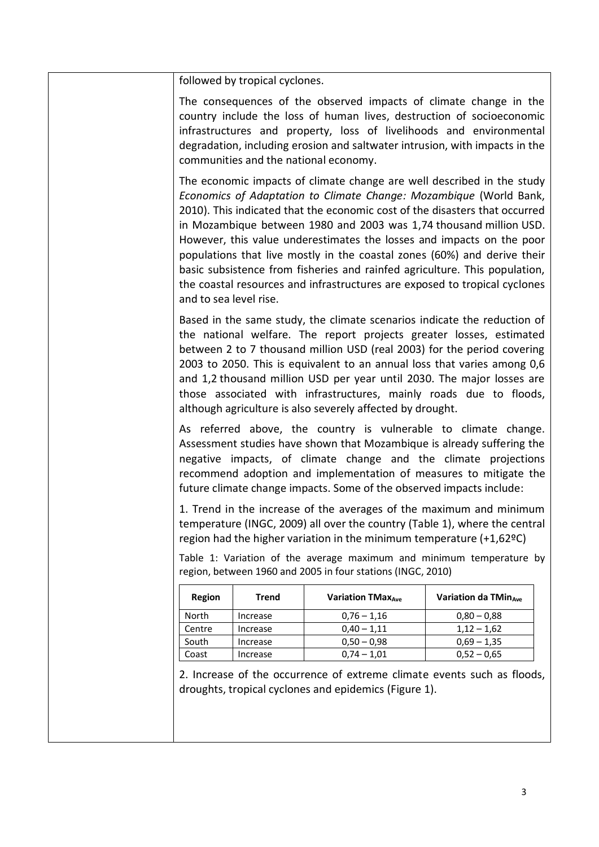followed by tropical cyclones.

The consequences of the observed impacts of climate change in the country include the loss of human lives, destruction of socioeconomic infrastructures and property, loss of livelihoods and environmental degradation, including erosion and saltwater intrusion, with impacts in the communities and the national economy.

The economic impacts of climate change are well described in the study *Economics of Adaptation to Climate Change: Mozambique* (World Bank, 2010). This indicated that the economic cost of the disasters that occurred in Mozambique between 1980 and 2003 was 1,74 thousand million USD. However, this value underestimates the losses and impacts on the poor populations that live mostly in the coastal zones (60%) and derive their basic subsistence from fisheries and rainfed agriculture. This population, the coastal resources and infrastructures are exposed to tropical cyclones and to sea level rise.

Based in the same study, the climate scenarios indicate the reduction of the national welfare. The report projects greater losses, estimated between 2 to 7 thousand million USD (real 2003) for the period covering 2003 to 2050. This is equivalent to an annual loss that varies among 0,6 and 1,2 thousand million USD per year until 2030. The major losses are those associated with infrastructures, mainly roads due to floods, although agriculture is also severely affected by drought.

As referred above, the country is vulnerable to climate change. Assessment studies have shown that Mozambique is already suffering the negative impacts, of climate change and the climate projections recommend adoption and implementation of measures to mitigate the future climate change impacts. Some of the observed impacts include:

1. Trend in the increase of the averages of the maximum and minimum temperature (INGC, 2009) all over the country (Table 1), where the central region had the higher variation in the minimum temperature (+1,62ºC)

Table 1: Variation of the average maximum and minimum temperature by region, between 1960 and 2005 in four stations (INGC, 2010)

| Region | Trend    | Variation TMax <sub>4ye</sub> | Variation da TMin <sub>ave</sub> |
|--------|----------|-------------------------------|----------------------------------|
| North  | Increase | $0.76 - 1.16$                 | $0,80 - 0,88$                    |
| Centre | Increase | $0,40 - 1,11$                 | $1,12 - 1,62$                    |
| South  | Increase | $0.50 - 0.98$                 | $0.69 - 1.35$                    |
| Coast  | Increase | $0.74 - 1.01$                 | $0.52 - 0.65$                    |

2. Increase of the occurrence of extreme climate events such as floods, droughts, tropical cyclones and epidemics (Figure 1).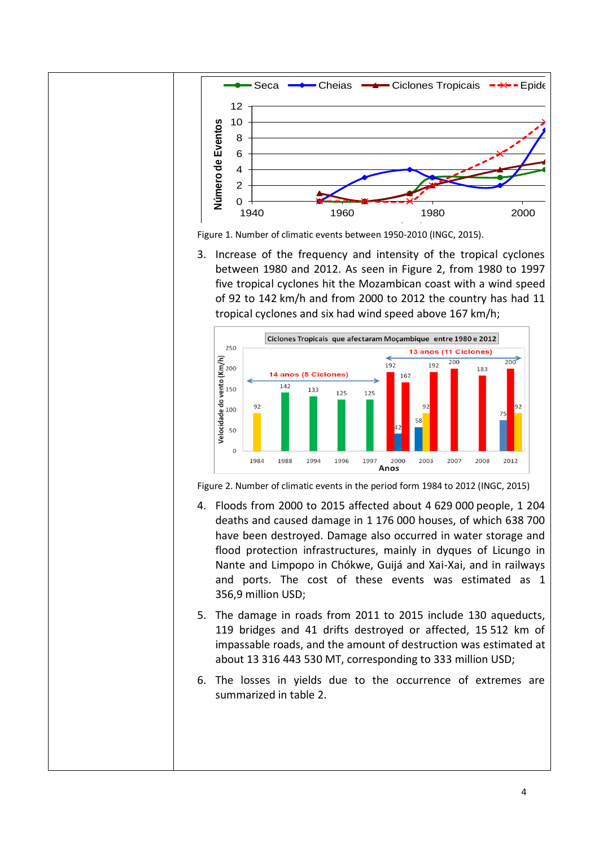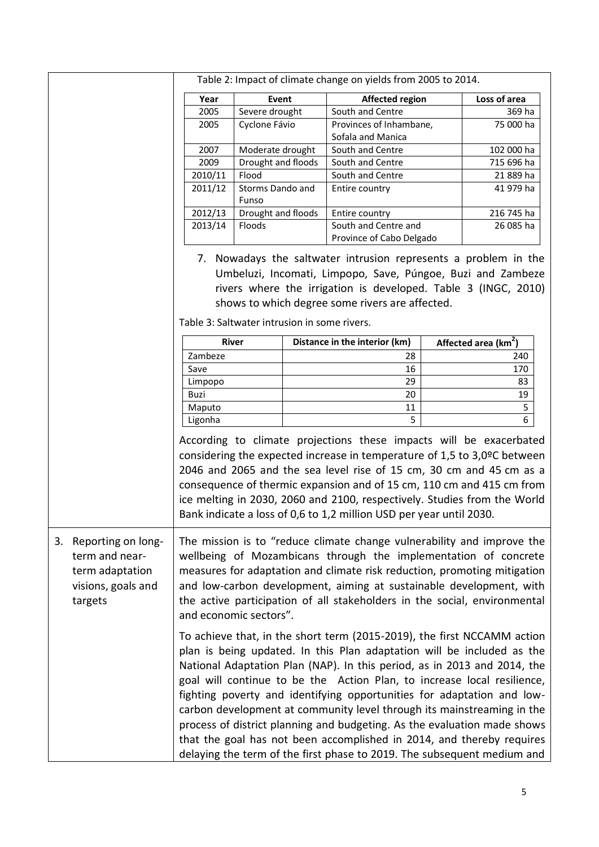|                                                                                                | Table 2: Impact of climate change on yields from 2005 to 2014.                                                                                                                                                                                                                                                                                                                                                                                                                                                                                                                                                                                                                                                                                                                                                                                                                                                                                                                                                                                                                                      |                           |  |                                                                                                                                                                                                                                                                                                                                                                                                                                                   |  |                                  |
|------------------------------------------------------------------------------------------------|-----------------------------------------------------------------------------------------------------------------------------------------------------------------------------------------------------------------------------------------------------------------------------------------------------------------------------------------------------------------------------------------------------------------------------------------------------------------------------------------------------------------------------------------------------------------------------------------------------------------------------------------------------------------------------------------------------------------------------------------------------------------------------------------------------------------------------------------------------------------------------------------------------------------------------------------------------------------------------------------------------------------------------------------------------------------------------------------------------|---------------------------|--|---------------------------------------------------------------------------------------------------------------------------------------------------------------------------------------------------------------------------------------------------------------------------------------------------------------------------------------------------------------------------------------------------------------------------------------------------|--|----------------------------------|
|                                                                                                | Year                                                                                                                                                                                                                                                                                                                                                                                                                                                                                                                                                                                                                                                                                                                                                                                                                                                                                                                                                                                                                                                                                                | Event                     |  | <b>Affected region</b>                                                                                                                                                                                                                                                                                                                                                                                                                            |  | Loss of area                     |
|                                                                                                | 2005                                                                                                                                                                                                                                                                                                                                                                                                                                                                                                                                                                                                                                                                                                                                                                                                                                                                                                                                                                                                                                                                                                | Severe drought            |  | South and Centre                                                                                                                                                                                                                                                                                                                                                                                                                                  |  | 369 ha                           |
|                                                                                                | 2005                                                                                                                                                                                                                                                                                                                                                                                                                                                                                                                                                                                                                                                                                                                                                                                                                                                                                                                                                                                                                                                                                                | Cyclone Fávio             |  | Provinces of Inhambane,<br>Sofala and Manica                                                                                                                                                                                                                                                                                                                                                                                                      |  | 75 000 ha                        |
|                                                                                                | 2007                                                                                                                                                                                                                                                                                                                                                                                                                                                                                                                                                                                                                                                                                                                                                                                                                                                                                                                                                                                                                                                                                                | Moderate drought          |  | South and Centre                                                                                                                                                                                                                                                                                                                                                                                                                                  |  | 102 000 ha                       |
|                                                                                                | 2009                                                                                                                                                                                                                                                                                                                                                                                                                                                                                                                                                                                                                                                                                                                                                                                                                                                                                                                                                                                                                                                                                                | Drought and floods        |  | South and Centre                                                                                                                                                                                                                                                                                                                                                                                                                                  |  | 715 696 ha                       |
|                                                                                                | 2010/11                                                                                                                                                                                                                                                                                                                                                                                                                                                                                                                                                                                                                                                                                                                                                                                                                                                                                                                                                                                                                                                                                             | Flood                     |  | South and Centre                                                                                                                                                                                                                                                                                                                                                                                                                                  |  | 21 889 ha                        |
|                                                                                                | 2011/12                                                                                                                                                                                                                                                                                                                                                                                                                                                                                                                                                                                                                                                                                                                                                                                                                                                                                                                                                                                                                                                                                             | Storms Dando and<br>Funso |  | Entire country                                                                                                                                                                                                                                                                                                                                                                                                                                    |  | 41 979 ha                        |
|                                                                                                | 2012/13                                                                                                                                                                                                                                                                                                                                                                                                                                                                                                                                                                                                                                                                                                                                                                                                                                                                                                                                                                                                                                                                                             | Drought and floods        |  | Entire country                                                                                                                                                                                                                                                                                                                                                                                                                                    |  | 216 745 ha                       |
|                                                                                                | 2013/14                                                                                                                                                                                                                                                                                                                                                                                                                                                                                                                                                                                                                                                                                                                                                                                                                                                                                                                                                                                                                                                                                             | Floods                    |  | South and Centre and<br>Province of Cabo Delgado                                                                                                                                                                                                                                                                                                                                                                                                  |  | 26 085 ha                        |
|                                                                                                | 7. Nowadays the saltwater intrusion represents a problem in the<br>Umbeluzi, Incomati, Limpopo, Save, Púngoe, Buzi and Zambeze<br>rivers where the irrigation is developed. Table 3 (INGC, 2010)<br>shows to which degree some rivers are affected.<br>Table 3: Saltwater intrusion in some rivers.                                                                                                                                                                                                                                                                                                                                                                                                                                                                                                                                                                                                                                                                                                                                                                                                 |                           |  |                                                                                                                                                                                                                                                                                                                                                                                                                                                   |  |                                  |
|                                                                                                |                                                                                                                                                                                                                                                                                                                                                                                                                                                                                                                                                                                                                                                                                                                                                                                                                                                                                                                                                                                                                                                                                                     | <b>River</b>              |  |                                                                                                                                                                                                                                                                                                                                                                                                                                                   |  |                                  |
|                                                                                                |                                                                                                                                                                                                                                                                                                                                                                                                                                                                                                                                                                                                                                                                                                                                                                                                                                                                                                                                                                                                                                                                                                     |                           |  | Distance in the interior (km)                                                                                                                                                                                                                                                                                                                                                                                                                     |  | Affected area (km <sup>2</sup> ) |
|                                                                                                | Zambeze                                                                                                                                                                                                                                                                                                                                                                                                                                                                                                                                                                                                                                                                                                                                                                                                                                                                                                                                                                                                                                                                                             |                           |  | 28                                                                                                                                                                                                                                                                                                                                                                                                                                                |  | 240                              |
|                                                                                                | Save                                                                                                                                                                                                                                                                                                                                                                                                                                                                                                                                                                                                                                                                                                                                                                                                                                                                                                                                                                                                                                                                                                |                           |  | 16                                                                                                                                                                                                                                                                                                                                                                                                                                                |  | 170                              |
|                                                                                                | Limpopo<br>Buzi                                                                                                                                                                                                                                                                                                                                                                                                                                                                                                                                                                                                                                                                                                                                                                                                                                                                                                                                                                                                                                                                                     |                           |  | 29<br>20                                                                                                                                                                                                                                                                                                                                                                                                                                          |  | 83<br>19                         |
|                                                                                                |                                                                                                                                                                                                                                                                                                                                                                                                                                                                                                                                                                                                                                                                                                                                                                                                                                                                                                                                                                                                                                                                                                     |                           |  |                                                                                                                                                                                                                                                                                                                                                                                                                                                   |  | 5                                |
|                                                                                                | Maputo<br>Ligonha                                                                                                                                                                                                                                                                                                                                                                                                                                                                                                                                                                                                                                                                                                                                                                                                                                                                                                                                                                                                                                                                                   |                           |  | 11<br>5                                                                                                                                                                                                                                                                                                                                                                                                                                           |  | $6\overline{6}$                  |
|                                                                                                |                                                                                                                                                                                                                                                                                                                                                                                                                                                                                                                                                                                                                                                                                                                                                                                                                                                                                                                                                                                                                                                                                                     |                           |  | According to climate projections these impacts will be exacerbated<br>considering the expected increase in temperature of 1,5 to 3,0ºC between<br>2046 and 2065 and the sea level rise of 15 cm, 30 cm and 45 cm as a<br>consequence of thermic expansion and of 15 cm, 110 cm and 415 cm from<br>ice melting in 2030, 2060 and 2100, respectively. Studies from the World<br>Bank indicate a loss of 0,6 to 1,2 million USD per year until 2030. |  |                                  |
| Reporting on long-<br>3.<br>term and near-<br>term adaptation<br>visions, goals and<br>targets | The mission is to "reduce climate change vulnerability and improve the<br>wellbeing of Mozambicans through the implementation of concrete<br>measures for adaptation and climate risk reduction, promoting mitigation<br>and low-carbon development, aiming at sustainable development, with<br>the active participation of all stakeholders in the social, environmental<br>and economic sectors".<br>To achieve that, in the short term (2015-2019), the first NCCAMM action<br>plan is being updated. In this Plan adaptation will be included as the<br>National Adaptation Plan (NAP). In this period, as in 2013 and 2014, the<br>goal will continue to be the Action Plan, to increase local resilience,<br>fighting poverty and identifying opportunities for adaptation and low-<br>carbon development at community level through its mainstreaming in the<br>process of district planning and budgeting. As the evaluation made shows<br>that the goal has not been accomplished in 2014, and thereby requires<br>delaying the term of the first phase to 2019. The subsequent medium and |                           |  |                                                                                                                                                                                                                                                                                                                                                                                                                                                   |  |                                  |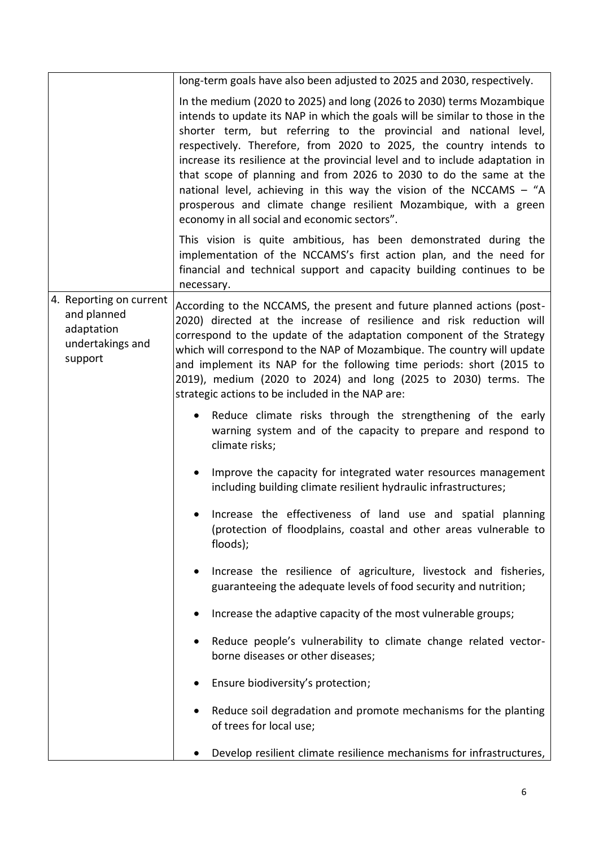|                                                                                     | long-term goals have also been adjusted to 2025 and 2030, respectively.                                                                                                                                                                                                                                                                                                                                                                                                                                                                                                                                                                             |
|-------------------------------------------------------------------------------------|-----------------------------------------------------------------------------------------------------------------------------------------------------------------------------------------------------------------------------------------------------------------------------------------------------------------------------------------------------------------------------------------------------------------------------------------------------------------------------------------------------------------------------------------------------------------------------------------------------------------------------------------------------|
|                                                                                     | In the medium (2020 to 2025) and long (2026 to 2030) terms Mozambique<br>intends to update its NAP in which the goals will be similar to those in the<br>shorter term, but referring to the provincial and national level,<br>respectively. Therefore, from 2020 to 2025, the country intends to<br>increase its resilience at the provincial level and to include adaptation in<br>that scope of planning and from 2026 to 2030 to do the same at the<br>national level, achieving in this way the vision of the NCCAMS $-$ "A<br>prosperous and climate change resilient Mozambique, with a green<br>economy in all social and economic sectors". |
|                                                                                     | This vision is quite ambitious, has been demonstrated during the<br>implementation of the NCCAMS's first action plan, and the need for<br>financial and technical support and capacity building continues to be<br>necessary.                                                                                                                                                                                                                                                                                                                                                                                                                       |
| 4. Reporting on current<br>and planned<br>adaptation<br>undertakings and<br>support | According to the NCCAMS, the present and future planned actions (post-<br>2020) directed at the increase of resilience and risk reduction will<br>correspond to the update of the adaptation component of the Strategy<br>which will correspond to the NAP of Mozambique. The country will update<br>and implement its NAP for the following time periods: short (2015 to<br>2019), medium (2020 to 2024) and long (2025 to 2030) terms. The<br>strategic actions to be included in the NAP are:                                                                                                                                                    |
|                                                                                     | Reduce climate risks through the strengthening of the early<br>warning system and of the capacity to prepare and respond to<br>climate risks;                                                                                                                                                                                                                                                                                                                                                                                                                                                                                                       |
|                                                                                     | Improve the capacity for integrated water resources management<br>including building climate resilient hydraulic infrastructures;                                                                                                                                                                                                                                                                                                                                                                                                                                                                                                                   |
|                                                                                     | Increase the effectiveness of land use and spatial planning<br>(protection of floodplains, coastal and other areas vulnerable to<br>floods);                                                                                                                                                                                                                                                                                                                                                                                                                                                                                                        |
|                                                                                     | Increase the resilience of agriculture, livestock and fisheries,<br>guaranteeing the adequate levels of food security and nutrition;                                                                                                                                                                                                                                                                                                                                                                                                                                                                                                                |
|                                                                                     | Increase the adaptive capacity of the most vulnerable groups;                                                                                                                                                                                                                                                                                                                                                                                                                                                                                                                                                                                       |
|                                                                                     | Reduce people's vulnerability to climate change related vector-<br>borne diseases or other diseases;                                                                                                                                                                                                                                                                                                                                                                                                                                                                                                                                                |
|                                                                                     | Ensure biodiversity's protection;                                                                                                                                                                                                                                                                                                                                                                                                                                                                                                                                                                                                                   |
|                                                                                     | Reduce soil degradation and promote mechanisms for the planting<br>of trees for local use;                                                                                                                                                                                                                                                                                                                                                                                                                                                                                                                                                          |
|                                                                                     | Develop resilient climate resilience mechanisms for infrastructures,                                                                                                                                                                                                                                                                                                                                                                                                                                                                                                                                                                                |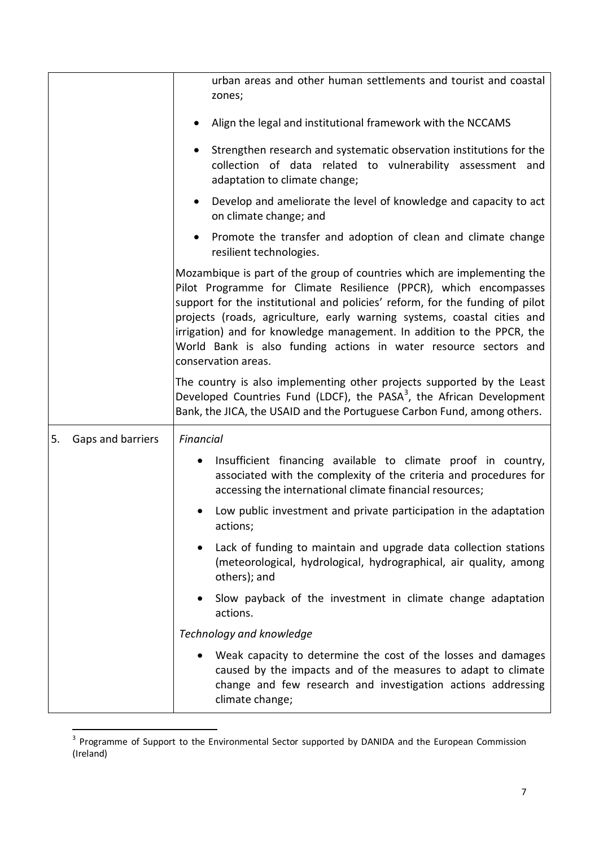|                         | urban areas and other human settlements and tourist and coastal<br>zones;                                                                                                                                                                                                                                                                                                                                                                                                   |
|-------------------------|-----------------------------------------------------------------------------------------------------------------------------------------------------------------------------------------------------------------------------------------------------------------------------------------------------------------------------------------------------------------------------------------------------------------------------------------------------------------------------|
|                         | Align the legal and institutional framework with the NCCAMS                                                                                                                                                                                                                                                                                                                                                                                                                 |
|                         | Strengthen research and systematic observation institutions for the<br>collection of data related to vulnerability assessment and<br>adaptation to climate change;                                                                                                                                                                                                                                                                                                          |
|                         | Develop and ameliorate the level of knowledge and capacity to act<br>on climate change; and                                                                                                                                                                                                                                                                                                                                                                                 |
|                         | Promote the transfer and adoption of clean and climate change<br>resilient technologies.                                                                                                                                                                                                                                                                                                                                                                                    |
|                         | Mozambique is part of the group of countries which are implementing the<br>Pilot Programme for Climate Resilience (PPCR), which encompasses<br>support for the institutional and policies' reform, for the funding of pilot<br>projects (roads, agriculture, early warning systems, coastal cities and<br>irrigation) and for knowledge management. In addition to the PPCR, the<br>World Bank is also funding actions in water resource sectors and<br>conservation areas. |
|                         | The country is also implementing other projects supported by the Least<br>Developed Countries Fund (LDCF), the PASA <sup>3</sup> , the African Development<br>Bank, the JICA, the USAID and the Portuguese Carbon Fund, among others.                                                                                                                                                                                                                                       |
| Gaps and barriers<br>5. | Financial                                                                                                                                                                                                                                                                                                                                                                                                                                                                   |
|                         | Insufficient financing available to climate proof in country,<br>associated with the complexity of the criteria and procedures for<br>accessing the international climate financial resources;                                                                                                                                                                                                                                                                              |
|                         | Low public investment and private participation in the adaptation<br>actions;                                                                                                                                                                                                                                                                                                                                                                                               |
|                         | Lack of funding to maintain and upgrade data collection stations<br>(meteorological, hydrological, hydrographical, air quality, among<br>others); and                                                                                                                                                                                                                                                                                                                       |
|                         | Slow payback of the investment in climate change adaptation<br>actions.                                                                                                                                                                                                                                                                                                                                                                                                     |
|                         | Technology and knowledge                                                                                                                                                                                                                                                                                                                                                                                                                                                    |
|                         | Weak capacity to determine the cost of the losses and damages<br>caused by the impacts and of the measures to adapt to climate<br>change and few research and investigation actions addressing<br>climate change;                                                                                                                                                                                                                                                           |

**THE SECTS 2018**<br><sup>3</sup> Programme of Support to the Environmental Sector supported by DANIDA and the European Commission (Ireland)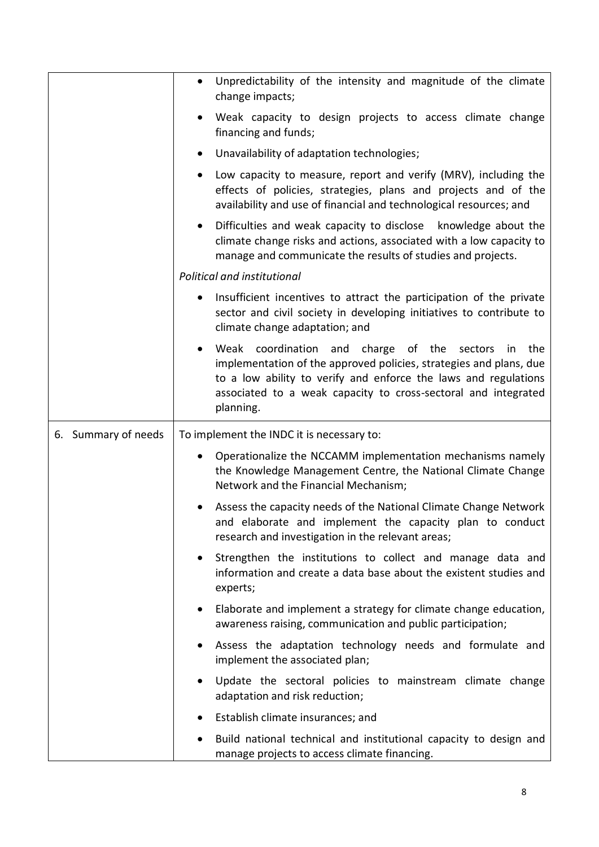|                     | Unpredictability of the intensity and magnitude of the climate<br>$\bullet$<br>change impacts;                                                                                                                                                                                                   |
|---------------------|--------------------------------------------------------------------------------------------------------------------------------------------------------------------------------------------------------------------------------------------------------------------------------------------------|
|                     | Weak capacity to design projects to access climate change<br>$\bullet$<br>financing and funds;                                                                                                                                                                                                   |
|                     | Unavailability of adaptation technologies;<br>$\bullet$                                                                                                                                                                                                                                          |
|                     | Low capacity to measure, report and verify (MRV), including the<br>$\bullet$<br>effects of policies, strategies, plans and projects and of the<br>availability and use of financial and technological resources; and                                                                             |
|                     | Difficulties and weak capacity to disclose knowledge about the<br>$\bullet$<br>climate change risks and actions, associated with a low capacity to<br>manage and communicate the results of studies and projects.                                                                                |
|                     | Political and institutional                                                                                                                                                                                                                                                                      |
|                     | Insufficient incentives to attract the participation of the private<br>$\bullet$<br>sector and civil society in developing initiatives to contribute to<br>climate change adaptation; and                                                                                                        |
|                     | coordination and charge of the sectors<br>Weak<br>the<br>in<br>$\bullet$<br>implementation of the approved policies, strategies and plans, due<br>to a low ability to verify and enforce the laws and regulations<br>associated to a weak capacity to cross-sectoral and integrated<br>planning. |
| 6. Summary of needs | To implement the INDC it is necessary to:                                                                                                                                                                                                                                                        |
|                     | Operationalize the NCCAMM implementation mechanisms namely<br>the Knowledge Management Centre, the National Climate Change<br>Network and the Financial Mechanism;                                                                                                                               |
|                     | Assess the capacity needs of the National Climate Change Network<br>and elaborate and implement the capacity plan to conduct<br>research and investigation in the relevant areas;                                                                                                                |
|                     | Strengthen the institutions to collect and manage data and<br>$\bullet$<br>information and create a data base about the existent studies and<br>experts;                                                                                                                                         |
|                     | Elaborate and implement a strategy for climate change education,<br>$\bullet$<br>awareness raising, communication and public participation;                                                                                                                                                      |
|                     | Assess the adaptation technology needs and formulate and<br>$\bullet$<br>implement the associated plan;                                                                                                                                                                                          |
|                     | Update the sectoral policies to mainstream climate change<br>$\bullet$<br>adaptation and risk reduction;                                                                                                                                                                                         |
|                     | Establish climate insurances; and                                                                                                                                                                                                                                                                |
|                     | Build national technical and institutional capacity to design and                                                                                                                                                                                                                                |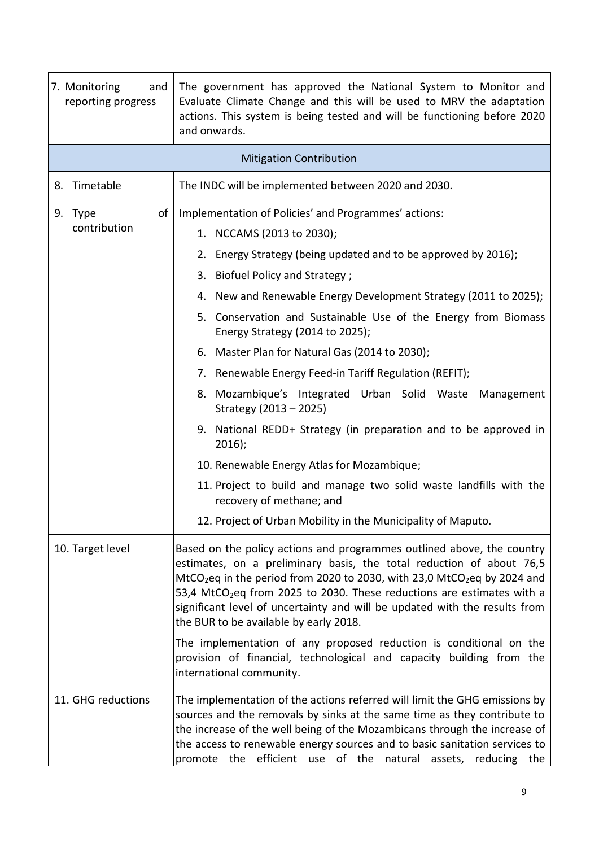| 7. Monitoring<br>and<br>reporting progress | The government has approved the National System to Monitor and<br>Evaluate Climate Change and this will be used to MRV the adaptation<br>actions. This system is being tested and will be functioning before 2020<br>and onwards.                                                                                                                                                                                                                                |  |  |
|--------------------------------------------|------------------------------------------------------------------------------------------------------------------------------------------------------------------------------------------------------------------------------------------------------------------------------------------------------------------------------------------------------------------------------------------------------------------------------------------------------------------|--|--|
|                                            | <b>Mitigation Contribution</b>                                                                                                                                                                                                                                                                                                                                                                                                                                   |  |  |
| 8. Timetable                               | The INDC will be implemented between 2020 and 2030.                                                                                                                                                                                                                                                                                                                                                                                                              |  |  |
| of<br>9. Type<br>contribution              | Implementation of Policies' and Programmes' actions:<br>1. NCCAMS (2013 to 2030);                                                                                                                                                                                                                                                                                                                                                                                |  |  |
|                                            | 2. Energy Strategy (being updated and to be approved by 2016);                                                                                                                                                                                                                                                                                                                                                                                                   |  |  |
|                                            | Biofuel Policy and Strategy;<br>3.                                                                                                                                                                                                                                                                                                                                                                                                                               |  |  |
|                                            | 4. New and Renewable Energy Development Strategy (2011 to 2025);                                                                                                                                                                                                                                                                                                                                                                                                 |  |  |
|                                            | 5. Conservation and Sustainable Use of the Energy from Biomass<br>Energy Strategy (2014 to 2025);                                                                                                                                                                                                                                                                                                                                                                |  |  |
|                                            | 6. Master Plan for Natural Gas (2014 to 2030);                                                                                                                                                                                                                                                                                                                                                                                                                   |  |  |
|                                            | 7. Renewable Energy Feed-in Tariff Regulation (REFIT);                                                                                                                                                                                                                                                                                                                                                                                                           |  |  |
|                                            | 8. Mozambique's Integrated Urban Solid Waste<br>Management<br>Strategy (2013 - 2025)                                                                                                                                                                                                                                                                                                                                                                             |  |  |
|                                            | 9. National REDD+ Strategy (in preparation and to be approved in<br>$2016$ ;                                                                                                                                                                                                                                                                                                                                                                                     |  |  |
|                                            | 10. Renewable Energy Atlas for Mozambique;                                                                                                                                                                                                                                                                                                                                                                                                                       |  |  |
|                                            | 11. Project to build and manage two solid waste landfills with the<br>recovery of methane; and                                                                                                                                                                                                                                                                                                                                                                   |  |  |
|                                            | 12. Project of Urban Mobility in the Municipality of Maputo.                                                                                                                                                                                                                                                                                                                                                                                                     |  |  |
| 10. Target level                           | Based on the policy actions and programmes outlined above, the country<br>estimates, on a preliminary basis, the total reduction of about 76,5<br>MtCO <sub>2</sub> eq in the period from 2020 to 2030, with 23,0 MtCO <sub>2</sub> eq by 2024 and<br>53,4 MtCO <sub>2</sub> eq from 2025 to 2030. These reductions are estimates with a<br>significant level of uncertainty and will be updated with the results from<br>the BUR to be available by early 2018. |  |  |
|                                            | The implementation of any proposed reduction is conditional on the<br>provision of financial, technological and capacity building from the<br>international community.                                                                                                                                                                                                                                                                                           |  |  |
| 11. GHG reductions                         | The implementation of the actions referred will limit the GHG emissions by<br>sources and the removals by sinks at the same time as they contribute to<br>the increase of the well being of the Mozambicans through the increase of<br>the access to renewable energy sources and to basic sanitation services to<br>promote the efficient use of the natural assets, reducing the                                                                               |  |  |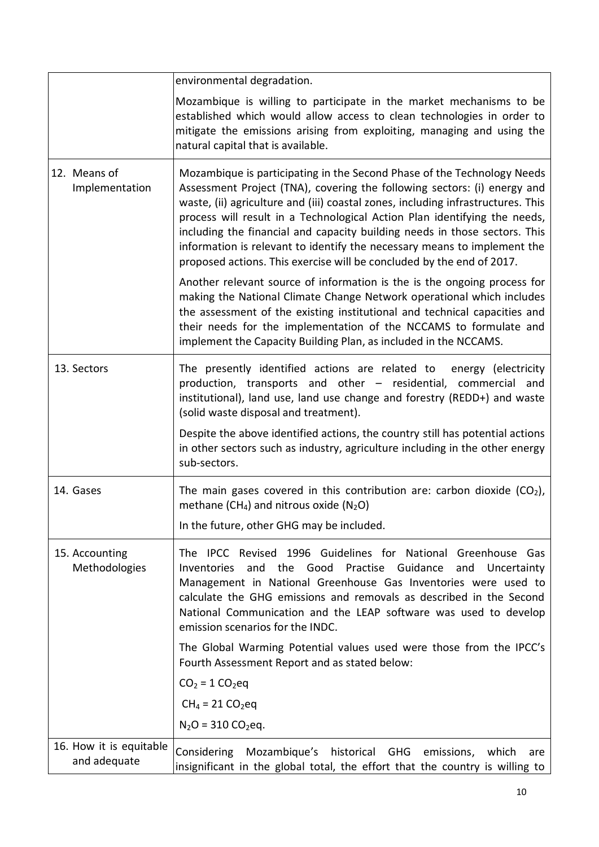|                                         | environmental degradation.                                                                                                                                                                                                                                                                                                                                                                                                                                                                                                                              |
|-----------------------------------------|---------------------------------------------------------------------------------------------------------------------------------------------------------------------------------------------------------------------------------------------------------------------------------------------------------------------------------------------------------------------------------------------------------------------------------------------------------------------------------------------------------------------------------------------------------|
|                                         | Mozambique is willing to participate in the market mechanisms to be<br>established which would allow access to clean technologies in order to<br>mitigate the emissions arising from exploiting, managing and using the<br>natural capital that is available.                                                                                                                                                                                                                                                                                           |
| 12. Means of<br>Implementation          | Mozambique is participating in the Second Phase of the Technology Needs<br>Assessment Project (TNA), covering the following sectors: (i) energy and<br>waste, (ii) agriculture and (iii) coastal zones, including infrastructures. This<br>process will result in a Technological Action Plan identifying the needs,<br>including the financial and capacity building needs in those sectors. This<br>information is relevant to identify the necessary means to implement the<br>proposed actions. This exercise will be concluded by the end of 2017. |
|                                         | Another relevant source of information is the is the ongoing process for<br>making the National Climate Change Network operational which includes<br>the assessment of the existing institutional and technical capacities and<br>their needs for the implementation of the NCCAMS to formulate and<br>implement the Capacity Building Plan, as included in the NCCAMS.                                                                                                                                                                                 |
| 13. Sectors                             | The presently identified actions are related to<br>energy (electricity<br>production, transports and other - residential, commercial and<br>institutional), land use, land use change and forestry (REDD+) and waste<br>(solid waste disposal and treatment).                                                                                                                                                                                                                                                                                           |
|                                         | Despite the above identified actions, the country still has potential actions<br>in other sectors such as industry, agriculture including in the other energy<br>sub-sectors.                                                                                                                                                                                                                                                                                                                                                                           |
| 14. Gases                               | The main gases covered in this contribution are: carbon dioxide $(CO2)$ ,<br>methane (CH <sub>4</sub> ) and nitrous oxide (N <sub>2</sub> O)                                                                                                                                                                                                                                                                                                                                                                                                            |
|                                         | In the future, other GHG may be included.                                                                                                                                                                                                                                                                                                                                                                                                                                                                                                               |
| 15. Accounting<br>Methodologies         | The IPCC Revised 1996 Guidelines for National Greenhouse Gas<br>and the Good<br>Practise Guidance<br>Inventories<br>and Uncertainty<br>Management in National Greenhouse Gas Inventories were used to<br>calculate the GHG emissions and removals as described in the Second<br>National Communication and the LEAP software was used to develop<br>emission scenarios for the INDC.                                                                                                                                                                    |
|                                         | The Global Warming Potential values used were those from the IPCC's<br>Fourth Assessment Report and as stated below:                                                                                                                                                                                                                                                                                                                                                                                                                                    |
|                                         | $CO2 = 1 CO2eq$                                                                                                                                                                                                                                                                                                                                                                                                                                                                                                                                         |
|                                         | $CH_4 = 21 CO_2$ eq                                                                                                                                                                                                                                                                                                                                                                                                                                                                                                                                     |
|                                         | $N_2O = 310 CO_2$ eq.                                                                                                                                                                                                                                                                                                                                                                                                                                                                                                                                   |
| 16. How it is equitable<br>and adequate | Considering<br>Mozambique's<br>historical GHG<br>emissions,<br>which<br>are<br>insignificant in the global total, the effort that the country is willing to                                                                                                                                                                                                                                                                                                                                                                                             |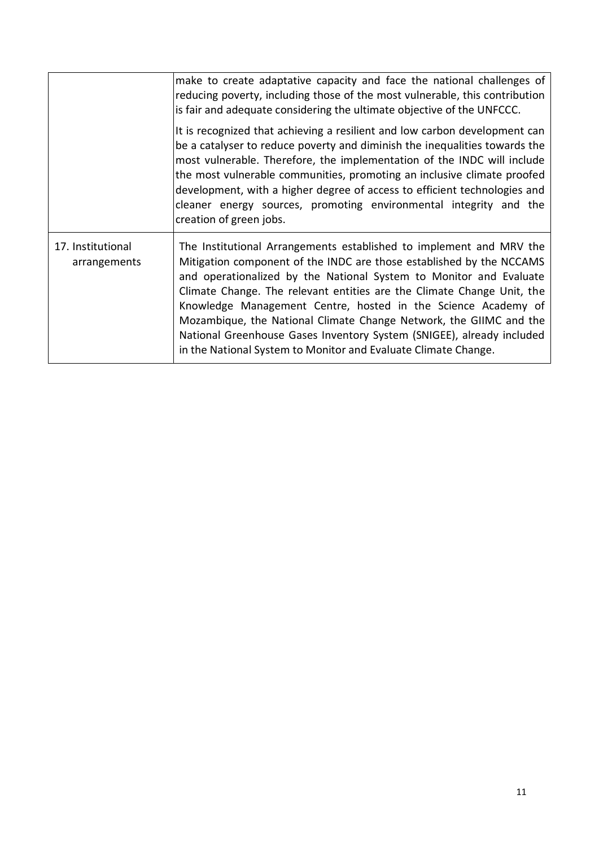|                                   | make to create adaptative capacity and face the national challenges of<br>reducing poverty, including those of the most vulnerable, this contribution<br>is fair and adequate considering the ultimate objective of the UNFCCC.                                                                                                                                                                                                                                                                                                                                               |
|-----------------------------------|-------------------------------------------------------------------------------------------------------------------------------------------------------------------------------------------------------------------------------------------------------------------------------------------------------------------------------------------------------------------------------------------------------------------------------------------------------------------------------------------------------------------------------------------------------------------------------|
|                                   | It is recognized that achieving a resilient and low carbon development can<br>be a catalyser to reduce poverty and diminish the inequalities towards the<br>most vulnerable. Therefore, the implementation of the INDC will include<br>the most vulnerable communities, promoting an inclusive climate proofed<br>development, with a higher degree of access to efficient technologies and<br>cleaner energy sources, promoting environmental integrity and the<br>creation of green jobs.                                                                                   |
| 17. Institutional<br>arrangements | The Institutional Arrangements established to implement and MRV the<br>Mitigation component of the INDC are those established by the NCCAMS<br>and operationalized by the National System to Monitor and Evaluate<br>Climate Change. The relevant entities are the Climate Change Unit, the<br>Knowledge Management Centre, hosted in the Science Academy of<br>Mozambique, the National Climate Change Network, the GIIMC and the<br>National Greenhouse Gases Inventory System (SNIGEE), already included<br>in the National System to Monitor and Evaluate Climate Change. |